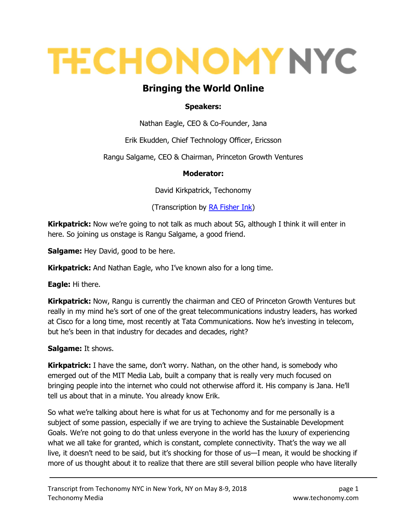# **TECHONOMY NYC**

## Bringing the World Online

#### Speakers:

Nathan Eagle, CEO & Co-Founder, Jana

Erik Ekudden, Chief Technology Officer, Ericsson

Rangu Salgame, CEO & Chairman, Princeton Growth Ventures

#### Moderator:

David Kirkpatrick, Techonomy

(Transcription by **RA Fisher Ink)** 

**Kirkpatrick:** Now we're going to not talk as much about 5G, although I think it will enter in here. So joining us onstage is Rangu Salgame, a good friend.

**Salgame:** Hey David, good to be here.

**Kirkpatrick:** And Nathan Eagle, who I've known also for a long time.

Eagle: Hi there.

**Kirkpatrick:** Now, Rangu is currently the chairman and CEO of Princeton Growth Ventures but really in my mind he's sort of one of the great telecommunications industry leaders, has worked at Cisco for a long time, most recently at Tata Communications. Now he's investing in telecom, but he's been in that industry for decades and decades, right?

Salgame: It shows.

**Kirkpatrick:** I have the same, don't worry. Nathan, on the other hand, is somebody who emerged out of the MIT Media Lab, built a company that is really very much focused on bringing people into the internet who could not otherwise afford it. His company is Jana. He'll tell us about that in a minute. You already know Erik.

So what we're talking about here is what for us at Techonomy and for me personally is a subject of some passion, especially if we are trying to achieve the Sustainable Development Goals. We're not going to do that unless everyone in the world has the luxury of experiencing what we all take for granted, which is constant, complete connectivity. That's the way we all live, it doesn't need to be said, but it's shocking for those of us—I mean, it would be shocking if more of us thought about it to realize that there are still several billion people who have literally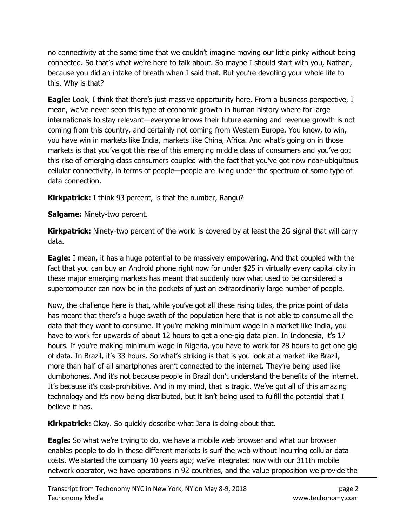no connectivity at the same time that we couldn't imagine moving our little pinky without being connected. So that's what we're here to talk about. So maybe I should start with you, Nathan, because you did an intake of breath when I said that. But you're devoting your whole life to this. Why is that?

**Eagle:** Look, I think that there's just massive opportunity here. From a business perspective, I mean, we've never seen this type of economic growth in human history where for large internationals to stay relevant—everyone knows their future earning and revenue growth is not coming from this country, and certainly not coming from Western Europe. You know, to win, you have win in markets like India, markets like China, Africa. And what's going on in those markets is that you've got this rise of this emerging middle class of consumers and you've got this rise of emerging class consumers coupled with the fact that you've got now near-ubiquitous cellular connectivity, in terms of people—people are living under the spectrum of some type of data connection.

**Kirkpatrick:** I think 93 percent, is that the number, Rangu?

Salgame: Ninety-two percent.

**Kirkpatrick:** Ninety-two percent of the world is covered by at least the 2G signal that will carry data.

**Eagle:** I mean, it has a huge potential to be massively empowering. And that coupled with the fact that you can buy an Android phone right now for under \$25 in virtually every capital city in these major emerging markets has meant that suddenly now what used to be considered a supercomputer can now be in the pockets of just an extraordinarily large number of people.

Now, the challenge here is that, while you've got all these rising tides, the price point of data has meant that there's a huge swath of the population here that is not able to consume all the data that they want to consume. If you're making minimum wage in a market like India, you have to work for upwards of about 12 hours to get a one-gig data plan. In Indonesia, it's 17 hours. If you're making minimum wage in Nigeria, you have to work for 28 hours to get one gig of data. In Brazil, it's 33 hours. So what's striking is that is you look at a market like Brazil, more than half of all smartphones aren't connected to the internet. They're being used like dumbphones. And it's not because people in Brazil don't understand the benefits of the internet. It's because it's cost-prohibitive. And in my mind, that is tragic. We've got all of this amazing technology and it's now being distributed, but it isn't being used to fulfill the potential that I believe it has.

**Kirkpatrick:** Okay. So quickly describe what Jana is doing about that.

**Eagle:** So what we're trying to do, we have a mobile web browser and what our browser enables people to do in these different markets is surf the web without incurring cellular data costs. We started the company 10 years ago; we've integrated now with our 311th mobile network operator, we have operations in 92 countries, and the value proposition we provide the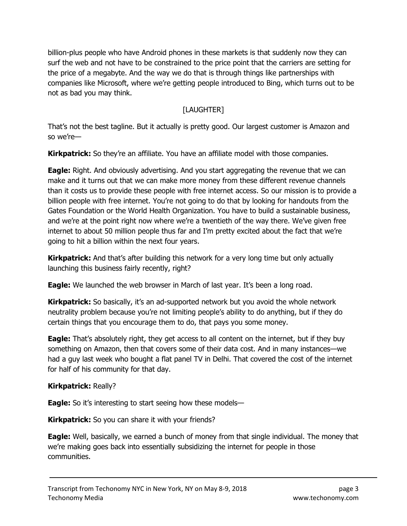billion-plus people who have Android phones in these markets is that suddenly now they can surf the web and not have to be constrained to the price point that the carriers are setting for the price of a megabyte. And the way we do that is through things like partnerships with companies like Microsoft, where we're getting people introduced to Bing, which turns out to be not as bad you may think.

### [LAUGHTER]

That's not the best tagline. But it actually is pretty good. Our largest customer is Amazon and so we're—

**Kirkpatrick:** So they're an affiliate. You have an affiliate model with those companies.

**Eagle:** Right. And obviously advertising. And you start aggregating the revenue that we can make and it turns out that we can make more money from these different revenue channels than it costs us to provide these people with free internet access. So our mission is to provide a billion people with free internet. You're not going to do that by looking for handouts from the Gates Foundation or the World Health Organization. You have to build a sustainable business, and we're at the point right now where we're a twentieth of the way there. We've given free internet to about 50 million people thus far and I'm pretty excited about the fact that we're going to hit a billion within the next four years.

**Kirkpatrick:** And that's after building this network for a very long time but only actually launching this business fairly recently, right?

**Eagle:** We launched the web browser in March of last year. It's been a long road.

**Kirkpatrick:** So basically, it's an ad-supported network but you avoid the whole network neutrality problem because you're not limiting people's ability to do anything, but if they do certain things that you encourage them to do, that pays you some money.

**Eagle:** That's absolutely right, they get access to all content on the internet, but if they buy something on Amazon, then that covers some of their data cost. And in many instances—we had a guy last week who bought a flat panel TV in Delhi. That covered the cost of the internet for half of his community for that day.

#### Kirkpatrick: Really?

**Eagle:** So it's interesting to start seeing how these models—

Kirkpatrick: So you can share it with your friends?

**Eagle:** Well, basically, we earned a bunch of money from that single individual. The money that we're making goes back into essentially subsidizing the internet for people in those communities.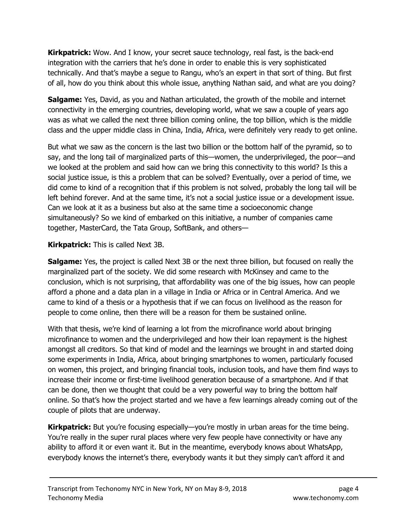**Kirkpatrick:** Wow. And I know, your secret sauce technology, real fast, is the back-end integration with the carriers that he's done in order to enable this is very sophisticated technically. And that's maybe a segue to Rangu, who's an expert in that sort of thing. But first of all, how do you think about this whole issue, anything Nathan said, and what are you doing?

**Salgame:** Yes, David, as you and Nathan articulated, the growth of the mobile and internet connectivity in the emerging countries, developing world, what we saw a couple of years ago was as what we called the next three billion coming online, the top billion, which is the middle class and the upper middle class in China, India, Africa, were definitely very ready to get online.

But what we saw as the concern is the last two billion or the bottom half of the pyramid, so to say, and the long tail of marginalized parts of this—women, the underprivileged, the poor—and we looked at the problem and said how can we bring this connectivity to this world? Is this a social justice issue, is this a problem that can be solved? Eventually, over a period of time, we did come to kind of a recognition that if this problem is not solved, probably the long tail will be left behind forever. And at the same time, it's not a social justice issue or a development issue. Can we look at it as a business but also at the same time a socioeconomic change simultaneously? So we kind of embarked on this initiative, a number of companies came together, MasterCard, the Tata Group, SoftBank, and others—

Kirkpatrick: This is called Next 3B.

**Salgame:** Yes, the project is called Next 3B or the next three billion, but focused on really the marginalized part of the society. We did some research with McKinsey and came to the conclusion, which is not surprising, that affordability was one of the big issues, how can people afford a phone and a data plan in a village in India or Africa or in Central America. And we came to kind of a thesis or a hypothesis that if we can focus on livelihood as the reason for people to come online, then there will be a reason for them be sustained online.

With that thesis, we're kind of learning a lot from the microfinance world about bringing microfinance to women and the underprivileged and how their loan repayment is the highest amongst all creditors. So that kind of model and the learnings we brought in and started doing some experiments in India, Africa, about bringing smartphones to women, particularly focused on women, this project, and bringing financial tools, inclusion tools, and have them find ways to increase their income or first-time livelihood generation because of a smartphone. And if that can be done, then we thought that could be a very powerful way to bring the bottom half online. So that's how the project started and we have a few learnings already coming out of the couple of pilots that are underway.

Kirkpatrick: But you're focusing especially—you're mostly in urban areas for the time being. You're really in the super rural places where very few people have connectivity or have any ability to afford it or even want it. But in the meantime, everybody knows about WhatsApp, everybody knows the internet's there, everybody wants it but they simply can't afford it and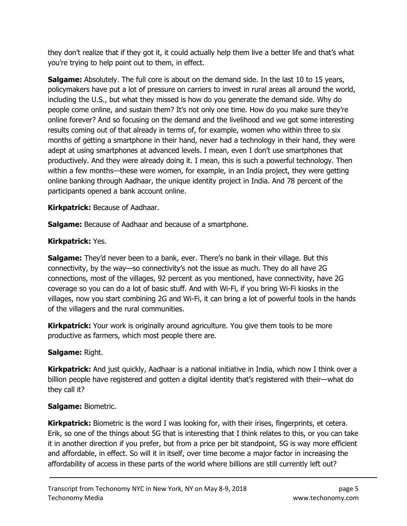they don't realize that if they got it, it could actually help them live a better life and that's what you're trying to help point out to them, in effect.

**Salgame:** Absolutely. The full core is about on the demand side. In the last 10 to 15 years, policymakers have put a lot of pressure on carriers to invest in rural areas all around the world, including the U.S., but what they missed is how do you generate the demand side. Why do people come online, and sustain them? It's not only one time. How do you make sure they're online forever? And so focusing on the demand and the livelihood and we got some interesting results coming out of that already in terms of, for example, women who within three to six months of getting a smartphone in their hand, never had a technology in their hand, they were adept at using smartphones at advanced levels. I mean, even I don't use smartphones that productively. And they were already doing it. I mean, this is such a powerful technology. Then within a few months—these were women, for example, in an India project, they were getting online banking through Aadhaar, the unique identity project in India. And 78 percent of the participants opened a bank account online.

Kirkpatrick: Because of Aadhaar.

**Salgame:** Because of Aadhaar and because of a smartphone.

#### Kirkpatrick: Yes.

**Salgame:** They'd never been to a bank, ever. There's no bank in their village. But this connectivity, by the way—so connectivity's not the issue as much. They do all have 2G connections, most of the villages, 92 percent as you mentioned, have connectivity, have 2G coverage so you can do a lot of basic stuff. And with Wi-Fi, if you bring Wi-Fi kiosks in the villages, now you start combining 2G and Wi-Fi, it can bring a lot of powerful tools in the hands of the villagers and the rural communities.

**Kirkpatrick:** Your work is originally around agriculture. You give them tools to be more productive as farmers, which most people there are.

#### Salgame: Right.

**Kirkpatrick:** And just quickly, Aadhaar is a national initiative in India, which now I think over a billion people have registered and gotten a digital identity that's registered with their—what do they call it?

#### Salgame: Biometric.

Kirkpatrick: Biometric is the word I was looking for, with their irises, fingerprints, et cetera. Erik, so one of the things about 5G that is interesting that I think relates to this, or you can take it in another direction if you prefer, but from a price per bit standpoint, 5G is way more efficient and affordable, in effect. So will it in itself, over time become a major factor in increasing the affordability of access in these parts of the world where billions are still currently left out?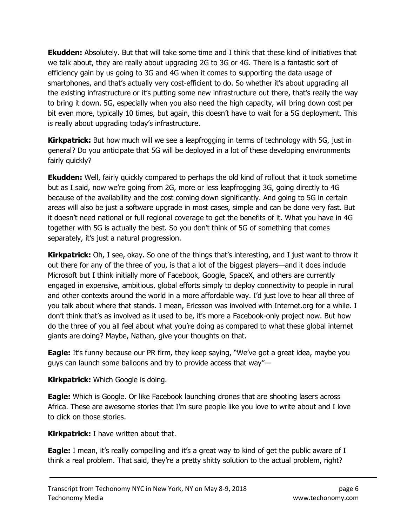**Ekudden:** Absolutely. But that will take some time and I think that these kind of initiatives that we talk about, they are really about upgrading 2G to 3G or 4G. There is a fantastic sort of efficiency gain by us going to 3G and 4G when it comes to supporting the data usage of smartphones, and that's actually very cost-efficient to do. So whether it's about upgrading all the existing infrastructure or it's putting some new infrastructure out there, that's really the way to bring it down. 5G, especially when you also need the high capacity, will bring down cost per bit even more, typically 10 times, but again, this doesn't have to wait for a 5G deployment. This is really about upgrading today's infrastructure.

**Kirkpatrick:** But how much will we see a leapfrogging in terms of technology with 5G, just in general? Do you anticipate that 5G will be deployed in a lot of these developing environments fairly quickly?

**Ekudden:** Well, fairly quickly compared to perhaps the old kind of rollout that it took sometime but as I said, now we're going from 2G, more or less leapfrogging 3G, going directly to 4G because of the availability and the cost coming down significantly. And going to 5G in certain areas will also be just a software upgrade in most cases, simple and can be done very fast. But it doesn't need national or full regional coverage to get the benefits of it. What you have in 4G together with 5G is actually the best. So you don't think of 5G of something that comes separately, it's just a natural progression.

Kirkpatrick: Oh, I see, okay. So one of the things that's interesting, and I just want to throw it out there for any of the three of you, is that a lot of the biggest players—and it does include Microsoft but I think initially more of Facebook, Google, SpaceX, and others are currently engaged in expensive, ambitious, global efforts simply to deploy connectivity to people in rural and other contexts around the world in a more affordable way. I'd just love to hear all three of you talk about where that stands. I mean, Ericsson was involved with Internet.org for a while. I don't think that's as involved as it used to be, it's more a Facebook-only project now. But how do the three of you all feel about what you're doing as compared to what these global internet giants are doing? Maybe, Nathan, give your thoughts on that.

**Eagle:** It's funny because our PR firm, they keep saying, "We've got a great idea, maybe you guys can launch some balloons and try to provide access that way"—

**Kirkpatrick:** Which Google is doing.

**Eagle:** Which is Google. Or like Facebook launching drones that are shooting lasers across Africa. These are awesome stories that I'm sure people like you love to write about and I love to click on those stories.

**Kirkpatrick:** I have written about that.

**Eagle:** I mean, it's really compelling and it's a great way to kind of get the public aware of I think a real problem. That said, they're a pretty shitty solution to the actual problem, right?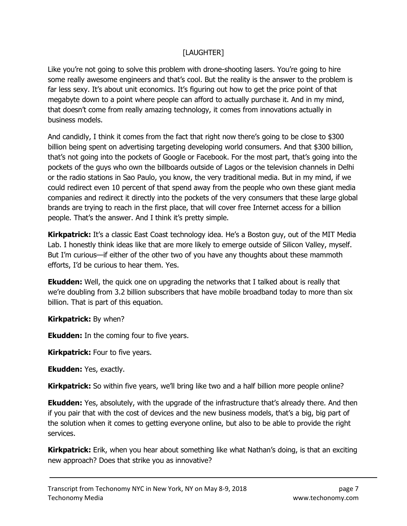#### [LAUGHTER]

Like you're not going to solve this problem with drone-shooting lasers. You're going to hire some really awesome engineers and that's cool. But the reality is the answer to the problem is far less sexy. It's about unit economics. It's figuring out how to get the price point of that megabyte down to a point where people can afford to actually purchase it. And in my mind, that doesn't come from really amazing technology, it comes from innovations actually in business models.

And candidly, I think it comes from the fact that right now there's going to be close to \$300 billion being spent on advertising targeting developing world consumers. And that \$300 billion, that's not going into the pockets of Google or Facebook. For the most part, that's going into the pockets of the guys who own the billboards outside of Lagos or the television channels in Delhi or the radio stations in Sao Paulo, you know, the very traditional media. But in my mind, if we could redirect even 10 percent of that spend away from the people who own these giant media companies and redirect it directly into the pockets of the very consumers that these large global brands are trying to reach in the first place, that will cover free Internet access for a billion people. That's the answer. And I think it's pretty simple.

**Kirkpatrick:** It's a classic East Coast technology idea. He's a Boston guy, out of the MIT Media Lab. I honestly think ideas like that are more likely to emerge outside of Silicon Valley, myself. But I'm curious—if either of the other two of you have any thoughts about these mammoth efforts, I'd be curious to hear them. Yes.

**Ekudden:** Well, the quick one on upgrading the networks that I talked about is really that we're doubling from 3.2 billion subscribers that have mobile broadband today to more than six billion. That is part of this equation.

**Kirkpatrick:** By when?

**Ekudden:** In the coming four to five years.

**Kirkpatrick:** Four to five years.

Ekudden: Yes, exactly.

**Kirkpatrick:** So within five years, we'll bring like two and a half billion more people online?

**Ekudden:** Yes, absolutely, with the upgrade of the infrastructure that's already there. And then if you pair that with the cost of devices and the new business models, that's a big, big part of the solution when it comes to getting everyone online, but also to be able to provide the right services.

**Kirkpatrick:** Erik, when you hear about something like what Nathan's doing, is that an exciting new approach? Does that strike you as innovative?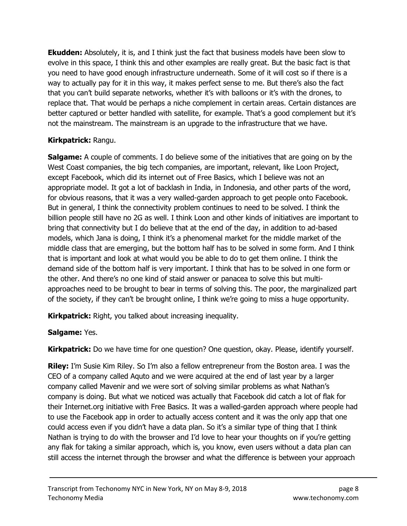**Ekudden:** Absolutely, it is, and I think just the fact that business models have been slow to evolve in this space, I think this and other examples are really great. But the basic fact is that you need to have good enough infrastructure underneath. Some of it will cost so if there is a way to actually pay for it in this way, it makes perfect sense to me. But there's also the fact that you can't build separate networks, whether it's with balloons or it's with the drones, to replace that. That would be perhaps a niche complement in certain areas. Certain distances are better captured or better handled with satellite, for example. That's a good complement but it's not the mainstream. The mainstream is an upgrade to the infrastructure that we have.

#### Kirkpatrick: Rangu.

**Salgame:** A couple of comments. I do believe some of the initiatives that are going on by the West Coast companies, the big tech companies, are important, relevant, like Loon Project, except Facebook, which did its internet out of Free Basics, which I believe was not an appropriate model. It got a lot of backlash in India, in Indonesia, and other parts of the word, for obvious reasons, that it was a very walled-garden approach to get people onto Facebook. But in general, I think the connectivity problem continues to need to be solved. I think the billion people still have no 2G as well. I think Loon and other kinds of initiatives are important to bring that connectivity but I do believe that at the end of the day, in addition to ad-based models, which Jana is doing, I think it's a phenomenal market for the middle market of the middle class that are emerging, but the bottom half has to be solved in some form. And I think that is important and look at what would you be able to do to get them online. I think the demand side of the bottom half is very important. I think that has to be solved in one form or the other. And there's no one kind of staid answer or panacea to solve this but multiapproaches need to be brought to bear in terms of solving this. The poor, the marginalized part of the society, if they can't be brought online, I think we're going to miss a huge opportunity.

**Kirkpatrick:** Right, you talked about increasing inequality.

#### Salgame: Yes.

**Kirkpatrick:** Do we have time for one question? One question, okay. Please, identify yourself.

**Riley:** I'm Susie Kim Riley. So I'm also a fellow entrepreneur from the Boston area. I was the CEO of a company called Aquto and we were acquired at the end of last year by a larger company called Mavenir and we were sort of solving similar problems as what Nathan's company is doing. But what we noticed was actually that Facebook did catch a lot of flak for their Internet.org initiative with Free Basics. It was a walled-garden approach where people had to use the Facebook app in order to actually access content and it was the only app that one could access even if you didn't have a data plan. So it's a similar type of thing that I think Nathan is trying to do with the browser and I'd love to hear your thoughts on if you're getting any flak for taking a similar approach, which is, you know, even users without a data plan can still access the internet through the browser and what the difference is between your approach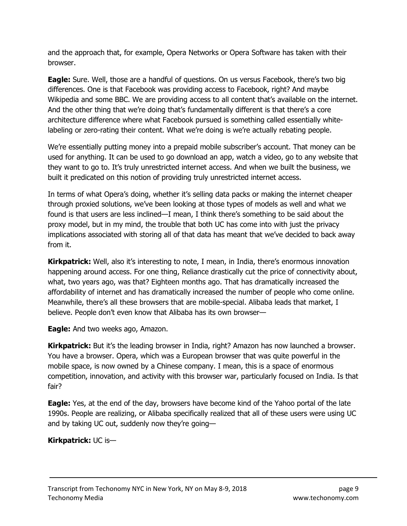and the approach that, for example, Opera Networks or Opera Software has taken with their browser.

Eagle: Sure. Well, those are a handful of questions. On us versus Facebook, there's two big differences. One is that Facebook was providing access to Facebook, right? And maybe Wikipedia and some BBC. We are providing access to all content that's available on the internet. And the other thing that we're doing that's fundamentally different is that there's a core architecture difference where what Facebook pursued is something called essentially whitelabeling or zero-rating their content. What we're doing is we're actually rebating people.

We're essentially putting money into a prepaid mobile subscriber's account. That money can be used for anything. It can be used to go download an app, watch a video, go to any website that they want to go to. It's truly unrestricted internet access. And when we built the business, we built it predicated on this notion of providing truly unrestricted internet access.

In terms of what Opera's doing, whether it's selling data packs or making the internet cheaper through proxied solutions, we've been looking at those types of models as well and what we found is that users are less inclined—I mean, I think there's something to be said about the proxy model, but in my mind, the trouble that both UC has come into with just the privacy implications associated with storing all of that data has meant that we've decided to back away from it.

**Kirkpatrick:** Well, also it's interesting to note, I mean, in India, there's enormous innovation happening around access. For one thing, Reliance drastically cut the price of connectivity about, what, two years ago, was that? Eighteen months ago. That has dramatically increased the affordability of internet and has dramatically increased the number of people who come online. Meanwhile, there's all these browsers that are mobile-special. Alibaba leads that market, I believe. People don't even know that Alibaba has its own browser—

**Eagle:** And two weeks ago, Amazon.

**Kirkpatrick:** But it's the leading browser in India, right? Amazon has now launched a browser. You have a browser. Opera, which was a European browser that was quite powerful in the mobile space, is now owned by a Chinese company. I mean, this is a space of enormous competition, innovation, and activity with this browser war, particularly focused on India. Is that fair?

**Eagle:** Yes, at the end of the day, browsers have become kind of the Yahoo portal of the late 1990s. People are realizing, or Alibaba specifically realized that all of these users were using UC and by taking UC out, suddenly now they're going—

#### Kirkpatrick: UC is—